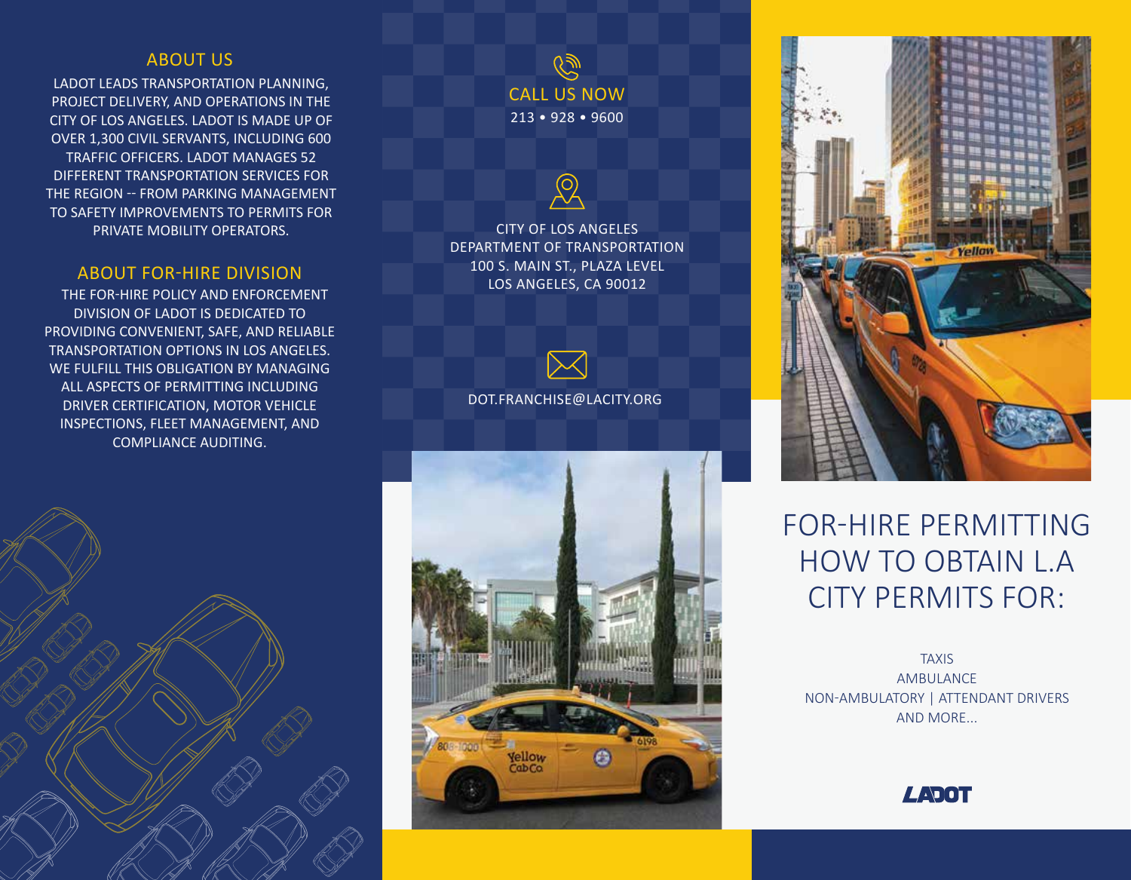## ABOUT US

LADOT LEADS TRANSPORTATION PLANNING, PROJECT DELIVERY, AND OPERATIONS IN THE CITY OF LOS ANGELES. LADOT IS MADE UP OF OVER 1,300 CIVIL SERVANTS, INCLUDING 600 TRAFFIC OFFICERS. LADOT MANAGES 52 DIFFERENT TRANSPORTATION SERVICES FOR THE REGION -- FROM PARKING MANAGEMENT TO SAFETY IMPROVEMENTS TO PERMITS FOR PRIVATE MOBILITY OPERATORS.

### ABOUT FOR-HIRE DIVISION

 THE FOR-HIRE POLICY AND ENFORCEMENT DIVISION OF LADOT IS DEDICATED TO PROVIDING CONVENIENT, SAFE, AND RELIABLE TRANSPORTATION OPTIONS IN LOS ANGELES. WE FULFILL THIS OBLIGATION BY MANAGING ALL ASPECTS OF PERMITTING INCLUDING DRIVER CERTIFICATION, MOTOR VEHICLE INSPECTIONS, FLEET MANAGEMENT, AND COMPLIANCE AUDITING.



 $\widetilde{\mathscr{C}}$ CALL US NOW 213 • 928 • 9600

CITY OF LOS ANGELES DEPARTMENT OF TRANSPORTATION 100 S. MAIN ST., PLAZA LEVEL LOS ANGELES, CA 90012



DOT.FRANCHISE@LACITY.ORG





# FOR-HIRE PERMITTING HOW TO OBTAIN L.A CITY PERMITS FOR:

TAXIS AMBULANCE NON-AMBULATORY | ATTENDANT DRIVERS AND MORE...